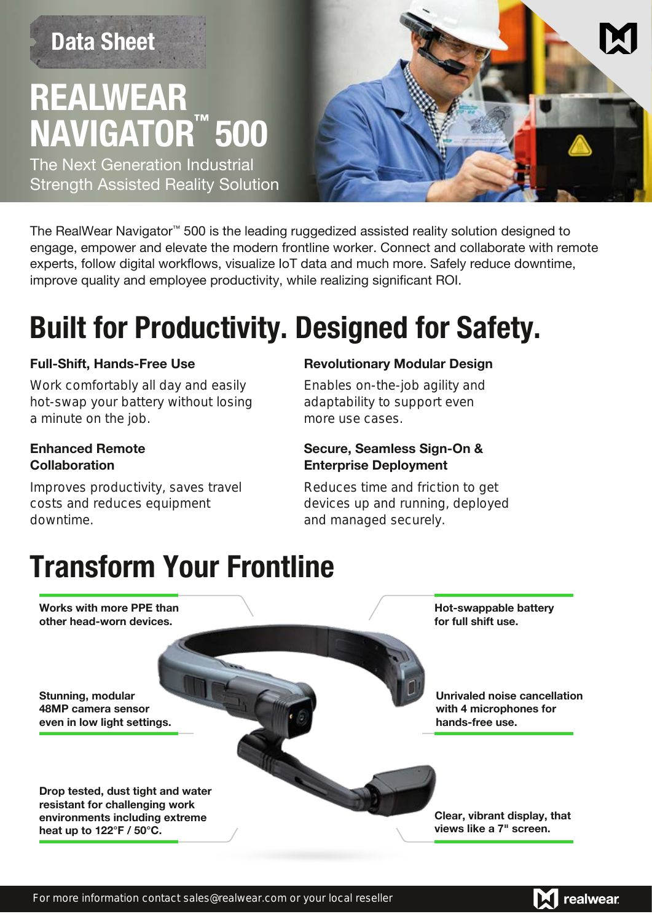# **REALWEAR NAVIGATOR 500 ™ Data Sheet**

The Next Generation Industrial Strength Assisted Reality Solution



The RealWear Navigator™ 500 is the leading ruggedized assisted reality solution designed to engage, empower and elevate the modern frontline worker. Connect and collaborate with remote experts, follow digital workflows, visualize IoT data and much more. Safely reduce downtime, improve quality and employee productivity, while realizing significant ROI.

### Built for Productivity. Designed for Safety.

#### **Full-Shift, Hands-Free Use**

Work comfortably all day and easily hot-swap your battery without losing a minute on the job.

#### **Enhanced Remote Collaboration**

Improves productivity, saves travel costs and reduces equipment downtime.

#### **Revolutionary Modular Design**

Enables on-the-job agility and adaptability to support even more use cases.

#### **Secure, Seamless Sign-On & Enterprise Deployment**

Reduces time and friction to get devices up and running, deployed and managed securely.

### Transform Your Frontline